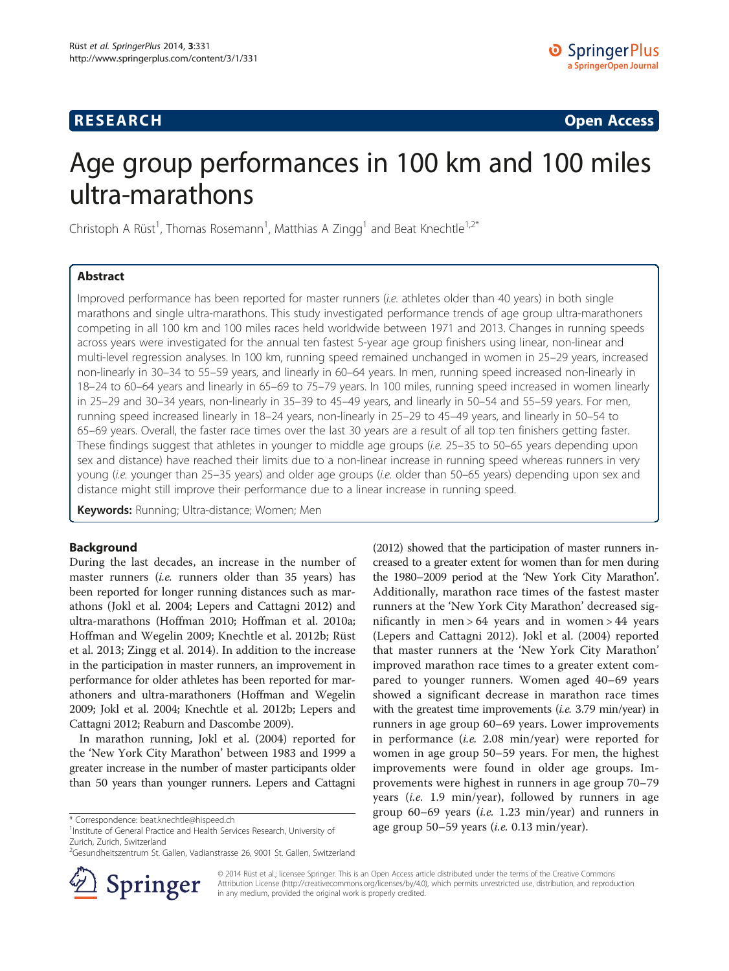## **RESEARCH RESEARCH CONSUMING ACCESS**

# Age group performances in 100 km and 100 miles ultra-marathons

Christoph A Rüst<sup>1</sup>, Thomas Rosemann<sup>1</sup>, Matthias A Zingg<sup>1</sup> and Beat Knechtle<sup>1,2\*</sup>

## Abstract

Improved performance has been reported for master runners (i.e. athletes older than 40 years) in both single marathons and single ultra-marathons. This study investigated performance trends of age group ultra-marathoners competing in all 100 km and 100 miles races held worldwide between 1971 and 2013. Changes in running speeds across years were investigated for the annual ten fastest 5-year age group finishers using linear, non-linear and multi-level regression analyses. In 100 km, running speed remained unchanged in women in 25–29 years, increased non-linearly in 30–34 to 55–59 years, and linearly in 60–64 years. In men, running speed increased non-linearly in 18–24 to 60–64 years and linearly in 65–69 to 75–79 years. In 100 miles, running speed increased in women linearly in 25–29 and 30–34 years, non-linearly in 35–39 to 45–49 years, and linearly in 50–54 and 55–59 years. For men, running speed increased linearly in 18–24 years, non-linearly in 25–29 to 45–49 years, and linearly in 50–54 to 65–69 years. Overall, the faster race times over the last 30 years are a result of all top ten finishers getting faster. These findings suggest that athletes in younger to middle age groups (i.e. <sup>25</sup>–35 to 50–65 years depending upon sex and distance) have reached their limits due to a non-linear increase in running speed whereas runners in very young (i.e. younger than 25–35 years) and older age groups (i.e. older than 50–65 years) depending upon sex and distance might still improve their performance due to a linear increase in running speed.

Keywords: Running; Ultra-distance; Women; Men

### Background

During the last decades, an increase in the number of master runners (*i.e.* runners older than 35 years) has been reported for longer running distances such as marathons (Jokl et al. [2004;](#page-10-0) Lepers and Cattagni [2012](#page-10-0)) and ultra-marathons (Hoffman [2010](#page-10-0); Hoffman et al. [2010a](#page-10-0); Hoffman and Wegelin [2009;](#page-10-0) Knechtle et al. [2012b;](#page-10-0) Rüst et al. [2013](#page-10-0); Zingg et al. [2014](#page-10-0)). In addition to the increase in the participation in master runners, an improvement in performance for older athletes has been reported for marathoners and ultra-marathoners (Hoffman and Wegelin [2009;](#page-10-0) Jokl et al. [2004;](#page-10-0) Knechtle et al. [2012b](#page-10-0); Lepers and Cattagni [2012](#page-10-0); Reaburn and Dascombe [2009\)](#page-10-0).

In marathon running, Jokl et al. ([2004](#page-10-0)) reported for the 'New York City Marathon' between 1983 and 1999 a greater increase in the number of master participants older than 50 years than younger runners. Lepers and Cattagni

<sup>&</sup>lt;sup>2</sup>Gesundheitszentrum St. Gallen, Vadianstrasse 26, 9001 St. Gallen, Switzerland





© 2014 Rüst et al.; licensee Springer. This is an Open Access article distributed under the terms of the Creative Commons Attribution License [\(http://creativecommons.org/licenses/by/4.0\)](http://creativecommons.org/licenses/by/4.0), which permits unrestricted use, distribution, and reproduction in any medium, provided the original work is properly credited.

Zurich, Zurich, Switzerland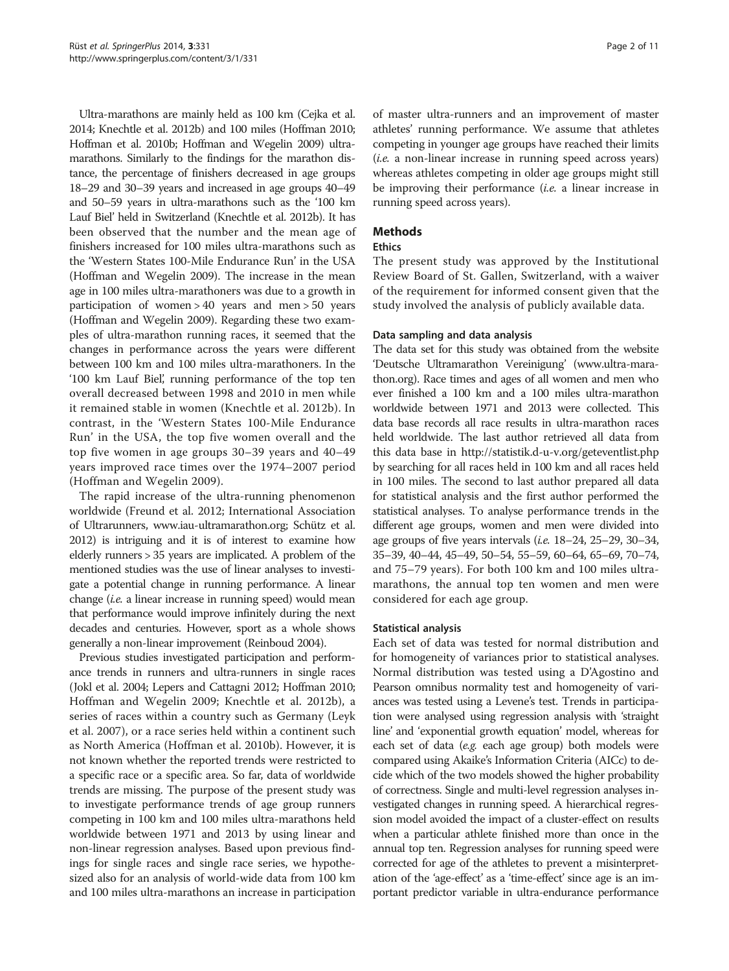Ultra-marathons are mainly held as 100 km (Cejka et al. [2014;](#page-9-0) Knechtle et al. [2012b](#page-10-0)) and 100 miles (Hoffman [2010](#page-10-0); Hoffman et al. [2010b](#page-10-0); Hoffman and Wegelin [2009\)](#page-10-0) ultramarathons. Similarly to the findings for the marathon distance, the percentage of finishers decreased in age groups 18–29 and 30–39 years and increased in age groups 40–49 and 50–59 years in ultra-marathons such as the '100 km Lauf Biel' held in Switzerland (Knechtle et al. [2012b](#page-10-0)). It has been observed that the number and the mean age of finishers increased for 100 miles ultra-marathons such as the 'Western States 100-Mile Endurance Run' in the USA (Hoffman and Wegelin [2009\)](#page-10-0). The increase in the mean age in 100 miles ultra-marathoners was due to a growth in participation of women > 40 years and men > 50 years (Hoffman and Wegelin [2009](#page-10-0)). Regarding these two examples of ultra-marathon running races, it seemed that the changes in performance across the years were different between 100 km and 100 miles ultra-marathoners. In the '100 km Lauf Biel', running performance of the top ten overall decreased between 1998 and 2010 in men while it remained stable in women (Knechtle et al. [2012b](#page-10-0)). In contrast, in the 'Western States 100-Mile Endurance Run' in the USA, the top five women overall and the top five women in age groups 30–39 years and 40–49 years improved race times over the 1974–2007 period (Hoffman and Wegelin [2009](#page-10-0)).

The rapid increase of the ultra-running phenomenon worldwide (Freund et al. [2012](#page-9-0); International Association of Ultrarunners, [www.iau-ultramarathon.org;](http://www.iau-ultramarathon.org) Schütz et al. [2012\)](#page-10-0) is intriguing and it is of interest to examine how elderly runners > 35 years are implicated. A problem of the mentioned studies was the use of linear analyses to investigate a potential change in running performance. A linear change  $(i.e.$  a linear increase in running speed) would mean that performance would improve infinitely during the next decades and centuries. However, sport as a whole shows generally a non-linear improvement (Reinboud [2004\)](#page-10-0).

Previous studies investigated participation and performance trends in runners and ultra-runners in single races (Jokl et al. [2004](#page-10-0); Lepers and Cattagni [2012](#page-10-0); Hoffman [2010](#page-10-0); Hoffman and Wegelin [2009;](#page-10-0) Knechtle et al. [2012b](#page-10-0)), a series of races within a country such as Germany (Leyk et al. [2007](#page-10-0)), or a race series held within a continent such as North America (Hoffman et al. [2010b](#page-10-0)). However, it is not known whether the reported trends were restricted to a specific race or a specific area. So far, data of worldwide trends are missing. The purpose of the present study was to investigate performance trends of age group runners competing in 100 km and 100 miles ultra-marathons held worldwide between 1971 and 2013 by using linear and non-linear regression analyses. Based upon previous findings for single races and single race series, we hypothesized also for an analysis of world-wide data from 100 km and 100 miles ultra-marathons an increase in participation of master ultra-runners and an improvement of master athletes' running performance. We assume that athletes competing in younger age groups have reached their limits (i.e. a non-linear increase in running speed across years) whereas athletes competing in older age groups might still be improving their performance (*i.e.* a linear increase in running speed across years).

## **Methods**

### Ethics

The present study was approved by the Institutional Review Board of St. Gallen, Switzerland, with a waiver of the requirement for informed consent given that the study involved the analysis of publicly available data.

## Data sampling and data analysis

The data set for this study was obtained from the website 'Deutsche Ultramarathon Vereinigung' ([www.ultra-mara](http://www.ultra-marathon.org)[thon.org\)](http://www.ultra-marathon.org). Race times and ages of all women and men who ever finished a 100 km and a 100 miles ultra-marathon worldwide between 1971 and 2013 were collected. This data base records all race results in ultra-marathon races held worldwide. The last author retrieved all data from this data base in<http://statistik.d-u-v.org/geteventlist.php> by searching for all races held in 100 km and all races held in 100 miles. The second to last author prepared all data for statistical analysis and the first author performed the statistical analyses. To analyse performance trends in the different age groups, women and men were divided into age groups of five years intervals (*i.e.*  $18-24$ ,  $25-29$ ,  $30-34$ , 35–39, 40–44, 45–49, 50–54, 55–59, 60–64, 65–69, 70–74, and 75–79 years). For both 100 km and 100 miles ultramarathons, the annual top ten women and men were considered for each age group.

### Statistical analysis

Each set of data was tested for normal distribution and for homogeneity of variances prior to statistical analyses. Normal distribution was tested using a D'Agostino and Pearson omnibus normality test and homogeneity of variances was tested using a Levene's test. Trends in participation were analysed using regression analysis with 'straight line' and 'exponential growth equation' model, whereas for each set of data (e.g. each age group) both models were compared using Akaike's Information Criteria (AICc) to decide which of the two models showed the higher probability of correctness. Single and multi-level regression analyses investigated changes in running speed. A hierarchical regression model avoided the impact of a cluster-effect on results when a particular athlete finished more than once in the annual top ten. Regression analyses for running speed were corrected for age of the athletes to prevent a misinterpretation of the 'age-effect' as a 'time-effect' since age is an important predictor variable in ultra-endurance performance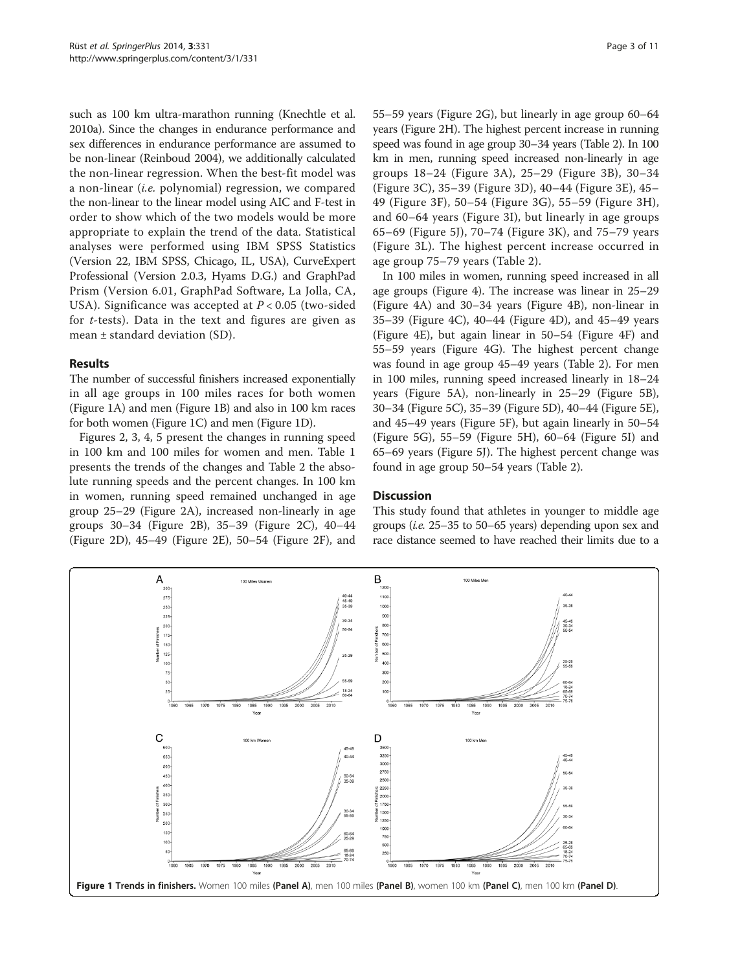such as 100 km ultra-marathon running (Knechtle et al. [2010a](#page-10-0)). Since the changes in endurance performance and sex differences in endurance performance are assumed to be non-linear (Reinboud [2004](#page-10-0)), we additionally calculated the non-linear regression. When the best-fit model was a non-linear (i.e. polynomial) regression, we compared the non-linear to the linear model using AIC and F-test in order to show which of the two models would be more appropriate to explain the trend of the data. Statistical analyses were performed using IBM SPSS Statistics (Version 22, IBM SPSS, Chicago, IL, USA), CurveExpert Professional (Version 2.0.3, Hyams D.G.) and GraphPad Prism (Version 6.01, GraphPad Software, La Jolla, CA, USA). Significance was accepted at  $P < 0.05$  (two-sided for t-tests). Data in the text and figures are given as mean ± standard deviation (SD).

### Results

The number of successful finishers increased exponentially in all age groups in 100 miles races for both women (Figure 1A) and men (Figure 1B) and also in 100 km races for both women (Figure 1C) and men (Figure 1D).

Figures [2](#page-3-0), [3](#page-4-0), [4,](#page-5-0) [5](#page-6-0) present the changes in running speed in 100 km and 100 miles for women and men. Table [1](#page-7-0) presents the trends of the changes and Table [2](#page-8-0) the absolute running speeds and the percent changes. In 100 km in women, running speed remained unchanged in age group 25–29 (Figure [2A](#page-3-0)), increased non-linearly in age groups 30–34 (Figure [2](#page-3-0)B), 35–39 (Figure [2](#page-3-0)C), 40–44 (Figure [2D](#page-3-0)), 45–49 (Figure [2E](#page-3-0)), 50–54 (Figure [2F](#page-3-0)), and 55–59 years (Figure [2G](#page-3-0)), but linearly in age group 60–64 years (Figure [2](#page-3-0)H). The highest percent increase in running speed was found in age group 30–34 years (Table [2\)](#page-8-0). In 100 km in men, running speed increased non-linearly in age groups 18–24 (Figure [3A](#page-4-0)), 25–29 (Figure [3](#page-4-0)B), 30–34 (Figure [3C](#page-4-0)), 35–39 (Figure [3](#page-4-0)D), 40–44 (Figure [3](#page-4-0)E), 45– 49 (Figure [3](#page-4-0)F), 50–54 (Figure [3](#page-4-0)G), 55–59 (Figure [3](#page-4-0)H), and 60–64 years (Figure [3I](#page-4-0)), but linearly in age groups 65–69 (Figure [5J](#page-6-0)), 70–74 (Figure [3](#page-4-0)K), and 75–79 years (Figure [3L](#page-4-0)). The highest percent increase occurred in age group 75–79 years (Table [2\)](#page-8-0).

In 100 miles in women, running speed increased in all age groups (Figure [4\)](#page-5-0). The increase was linear in 25–29 (Figure [4A](#page-5-0)) and 30–34 years (Figure [4B](#page-5-0)), non-linear in 35–39 (Figure [4](#page-5-0)C), 40–44 (Figure [4D](#page-5-0)), and 45–49 years (Figure [4](#page-5-0)E), but again linear in 50–54 (Figure [4F](#page-5-0)) and 55–59 years (Figure [4](#page-5-0)G). The highest percent change was found in age group 45–49 years (Table [2](#page-8-0)). For men in 100 miles, running speed increased linearly in 18–24 years (Figure [5](#page-6-0)A), non-linearly in 25–29 (Figure [5](#page-6-0)B), 30–34 (Figure [5](#page-6-0)C), 35–39 (Figure [5](#page-6-0)D), 40–44 (Figure [5E](#page-6-0)), and 45–49 years (Figure [5F](#page-6-0)), but again linearly in 50–54 (Figure [5G](#page-6-0)), 55–59 (Figure [5H](#page-6-0)), 60–64 (Figure [5I](#page-6-0)) and 65–69 years (Figure [5](#page-6-0)J). The highest percent change was found in age group 50–54 years (Table [2](#page-8-0)).

## **Discussion**

This study found that athletes in younger to middle age groups (i.e. <sup>25</sup>–35 to 50–65 years) depending upon sex and race distance seemed to have reached their limits due to a

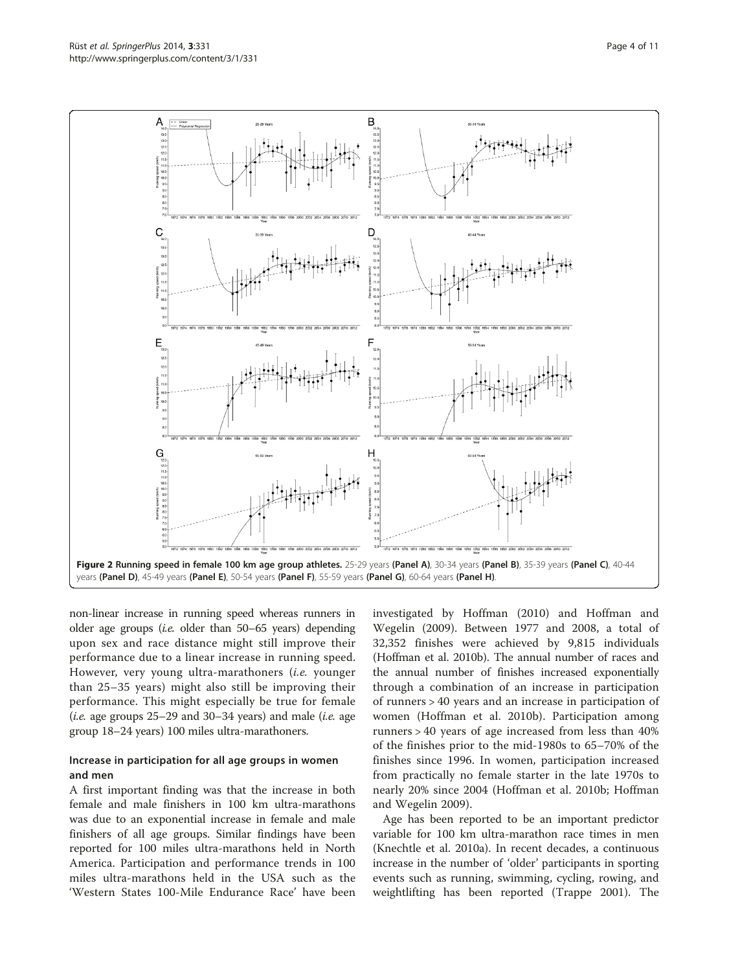<span id="page-3-0"></span>

non-linear increase in running speed whereas runners in older age groups (i.e. older than 50–65 years) depending upon sex and race distance might still improve their performance due to a linear increase in running speed. However, very young ultra-marathoners (i.e. younger than 25–35 years) might also still be improving their performance. This might especially be true for female (i.e. age groups  $25-29$  and  $30-34$  years) and male (i.e. age group 18–24 years) 100 miles ultra-marathoners.

## Increase in participation for all age groups in women and men

A first important finding was that the increase in both female and male finishers in 100 km ultra-marathons was due to an exponential increase in female and male finishers of all age groups. Similar findings have been reported for 100 miles ultra-marathons held in North America. Participation and performance trends in 100 miles ultra-marathons held in the USA such as the 'Western States 100-Mile Endurance Race' have been

investigated by Hoffman ([2010\)](#page-10-0) and Hoffman and Wegelin [\(2009](#page-10-0)). Between 1977 and 2008, a total of 32,352 finishes were achieved by 9,815 individuals (Hoffman et al. [2010b\)](#page-10-0). The annual number of races and the annual number of finishes increased exponentially through a combination of an increase in participation of runners > 40 years and an increase in participation of women (Hoffman et al. [2010b](#page-10-0)). Participation among runners > 40 years of age increased from less than 40% of the finishes prior to the mid-1980s to 65–70% of the finishes since 1996. In women, participation increased from practically no female starter in the late 1970s to nearly 20% since 2004 (Hoffman et al. [2010b;](#page-10-0) Hoffman and Wegelin [2009](#page-10-0)).

Age has been reported to be an important predictor variable for 100 km ultra-marathon race times in men (Knechtle et al. [2010a](#page-10-0)). In recent decades, a continuous increase in the number of 'older' participants in sporting events such as running, swimming, cycling, rowing, and weightlifting has been reported (Trappe [2001](#page-10-0)). The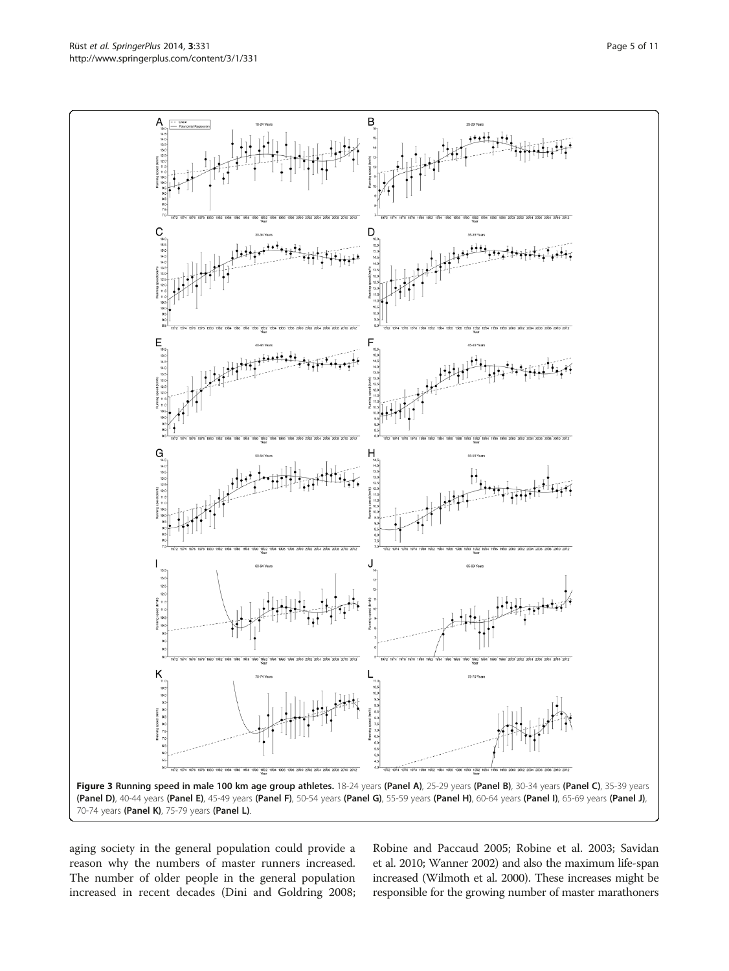<span id="page-4-0"></span>

aging society in the general population could provide a reason why the numbers of master runners increased. The number of older people in the general population increased in recent decades (Dini and Goldring [2008](#page-9-0);

Robine and Paccaud [2005](#page-10-0); Robine et al. [2003](#page-10-0); Savidan et al. [2010](#page-10-0); Wanner [2002\)](#page-10-0) and also the maximum life-span increased (Wilmoth et al. [2000\)](#page-10-0). These increases might be responsible for the growing number of master marathoners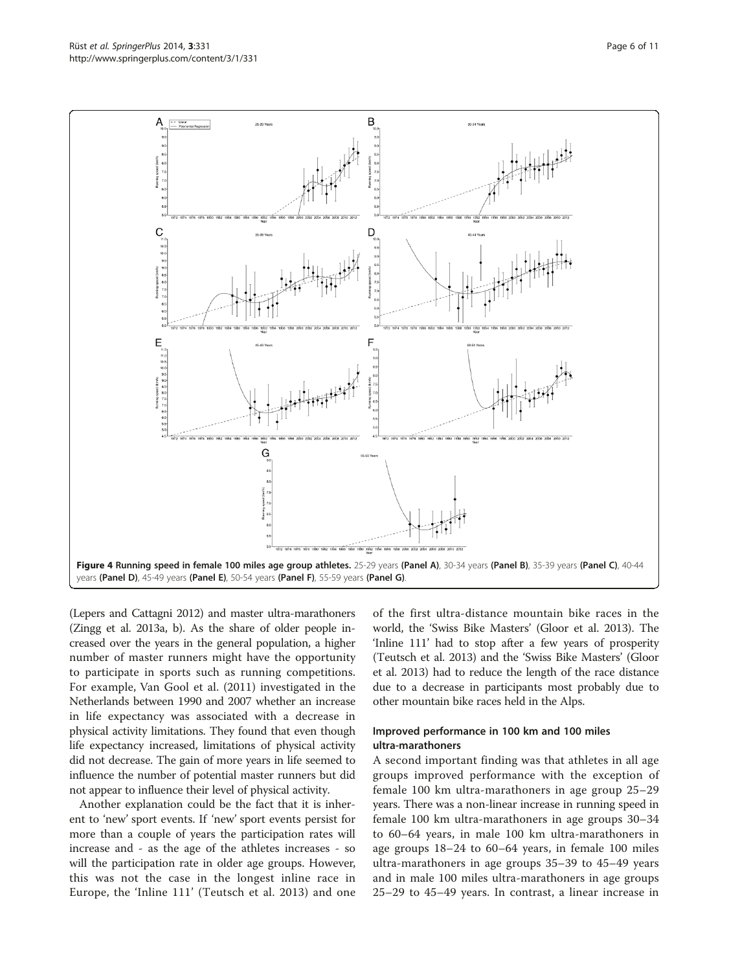<span id="page-5-0"></span>

(Lepers and Cattagni [2012\)](#page-10-0) and master ultra-marathoners (Zingg et al. [2013a, b](#page-10-0)). As the share of older people increased over the years in the general population, a higher number of master runners might have the opportunity to participate in sports such as running competitions. For example, Van Gool et al. ([2011\)](#page-10-0) investigated in the Netherlands between 1990 and 2007 whether an increase in life expectancy was associated with a decrease in physical activity limitations. They found that even though life expectancy increased, limitations of physical activity did not decrease. The gain of more years in life seemed to influence the number of potential master runners but did not appear to influence their level of physical activity.

Another explanation could be the fact that it is inherent to 'new' sport events. If 'new' sport events persist for more than a couple of years the participation rates will increase and - as the age of the athletes increases - so will the participation rate in older age groups. However, this was not the case in the longest inline race in Europe, the 'Inline 111' (Teutsch et al. [2013\)](#page-10-0) and one

of the first ultra-distance mountain bike races in the world, the 'Swiss Bike Masters' (Gloor et al. [2013](#page-10-0)). The 'Inline 111' had to stop after a few years of prosperity (Teutsch et al. [2013](#page-10-0)) and the 'Swiss Bike Masters' (Gloor et al. [2013](#page-10-0)) had to reduce the length of the race distance due to a decrease in participants most probably due to other mountain bike races held in the Alps.

### Improved performance in 100 km and 100 miles ultra-marathoners

A second important finding was that athletes in all age groups improved performance with the exception of female 100 km ultra-marathoners in age group 25–29 years. There was a non-linear increase in running speed in female 100 km ultra-marathoners in age groups 30–34 to 60–64 years, in male 100 km ultra-marathoners in age groups 18–24 to 60–64 years, in female 100 miles ultra-marathoners in age groups 35–39 to 45–49 years and in male 100 miles ultra-marathoners in age groups 25–29 to 45–49 years. In contrast, a linear increase in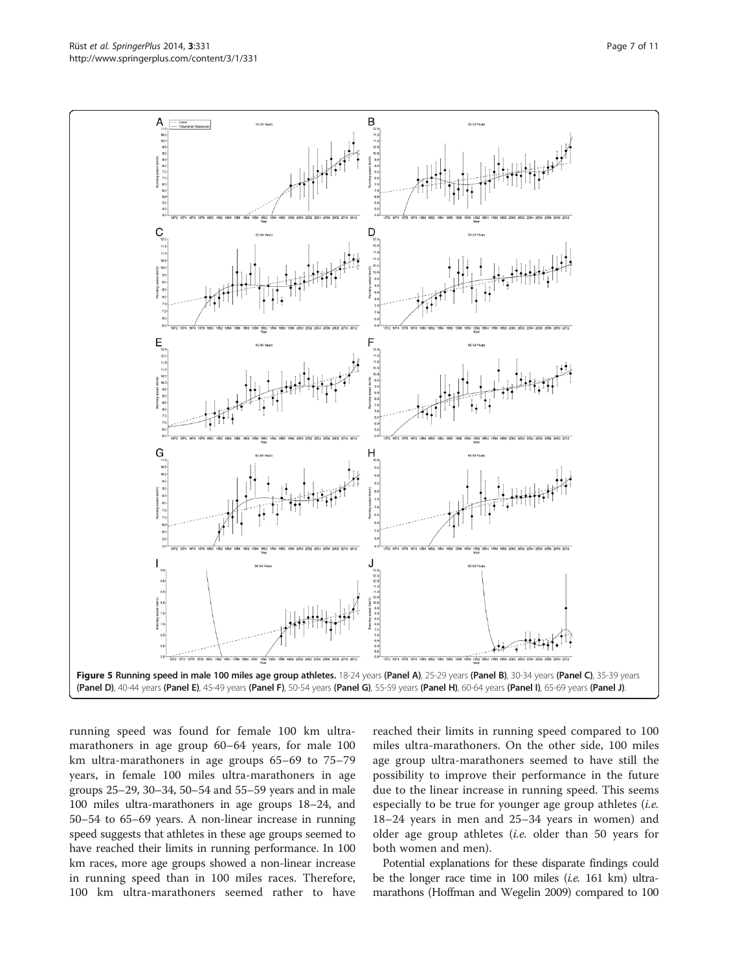<span id="page-6-0"></span>

running speed was found for female 100 km ultramarathoners in age group 60–64 years, for male 100 km ultra-marathoners in age groups 65–69 to 75–79 years, in female 100 miles ultra-marathoners in age groups 25–29, 30–34, 50–54 and 55–59 years and in male 100 miles ultra-marathoners in age groups 18–24, and 50–54 to 65–69 years. A non-linear increase in running speed suggests that athletes in these age groups seemed to have reached their limits in running performance. In 100 km races, more age groups showed a non-linear increase in running speed than in 100 miles races. Therefore, 100 km ultra-marathoners seemed rather to have

reached their limits in running speed compared to 100 miles ultra-marathoners. On the other side, 100 miles age group ultra-marathoners seemed to have still the possibility to improve their performance in the future due to the linear increase in running speed. This seems especially to be true for younger age group athletes  $(i.e.$ 18–24 years in men and 25–34 years in women) and older age group athletes (i.e. older than 50 years for both women and men).

Potential explanations for these disparate findings could be the longer race time in 100 miles  $(i.e. 161 km)$  ultramarathons (Hoffman and Wegelin [2009](#page-10-0)) compared to 100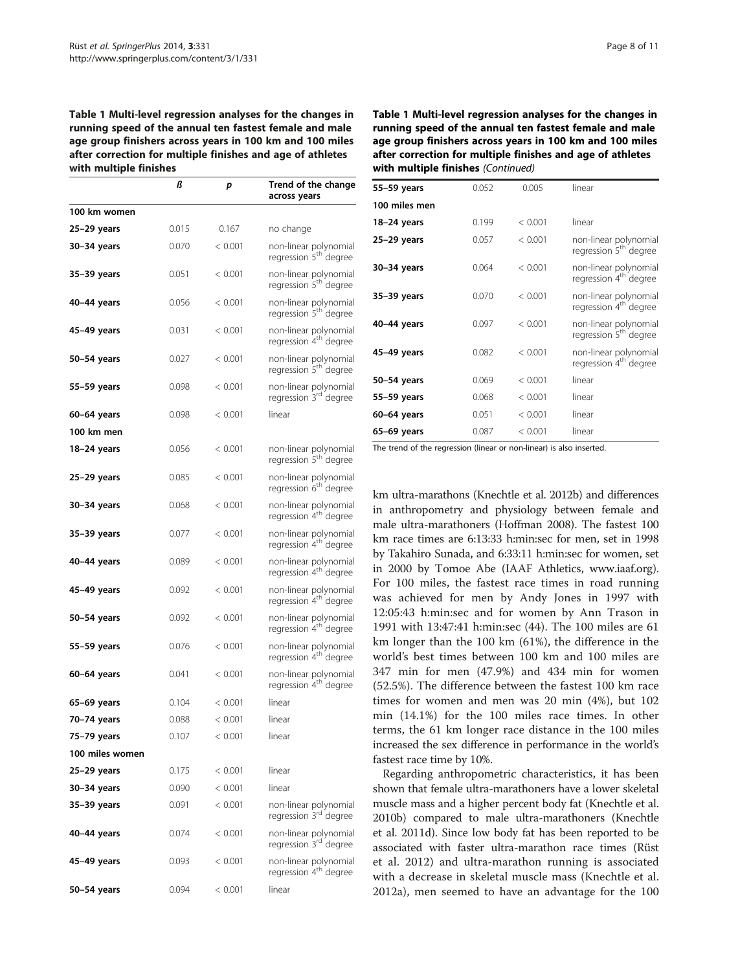<span id="page-7-0"></span>Table 1 Multi-level regression analyses for the changes in running speed of the annual ten fastest female and male age group finishers across years in 100 km and 100 miles after correction for multiple finishes and age of athletes with multiple finishes

|                 | ß     | р       | Trend of the change<br>across years                        |
|-----------------|-------|---------|------------------------------------------------------------|
| 100 km women    |       |         |                                                            |
| 25-29 years     | 0.015 | 0.167   | no change                                                  |
| 30–34 years     | 0.070 | < 0.001 | non-linear polynomial<br>regression 5 <sup>th</sup> degree |
| 35-39 years     | 0.051 | < 0.001 | non-linear polynomial<br>regression 5 <sup>th</sup> degree |
| 40-44 years     | 0.056 | < 0.001 | non-linear polynomial<br>regression 5 <sup>th</sup> degree |
| 45-49 years     | 0.031 | < 0.001 | non-linear polynomial<br>regression 4 <sup>th</sup> degree |
| 50-54 years     | 0.027 | < 0.001 | non-linear polynomial<br>regression 5 <sup>th</sup> degree |
| 55–59 years     | 0.098 | < 0.001 | non-linear polynomial<br>regression 3rd degree             |
| 60–64 years     | 0.098 | < 0.001 | linear                                                     |
| 100 km men      |       |         |                                                            |
| 18-24 years     | 0.056 | < 0.001 | non-linear polynomial<br>regression 5 <sup>th degree</sup> |
| 25–29 years     | 0.085 | < 0.001 | non-linear polynomial<br>regression 6 <sup>th</sup> degree |
| 30-34 years     | 0.068 | < 0.001 | non-linear polynomial<br>regression 4 <sup>th</sup> degree |
| 35–39 years     | 0.077 | < 0.001 | non-linear polynomial<br>regression 4 <sup>th</sup> degree |
| 40–44 years     | 0.089 | < 0.001 | non-linear polynomial<br>regression 4 <sup>th</sup> degree |
| 45–49 years     | 0.092 | < 0.001 | non-linear polynomial<br>regression 4 <sup>th</sup> degree |
| 50-54 years     | 0.092 | < 0.001 | non-linear polynomial<br>regression 4 <sup>th</sup> degree |
| 55–59 years     | 0.076 | < 0.001 | non-linear polynomial<br>regression 4 <sup>th</sup> degree |
| 60-64 years     | 0.041 | < 0.001 | non-linear polynomial<br>regression 4 <sup>th</sup> degree |
| 65–69 years     | 0.104 | < 0.001 | linear                                                     |
| 70-74 years     | 0.088 | < 0.001 | linear                                                     |
| 75-79 years     | 0.107 | < 0.001 | linear                                                     |
| 100 miles women |       |         |                                                            |
| 25-29 years     | 0.175 | < 0.001 | linear                                                     |
| 30-34 years     | 0.090 | < 0.001 | linear                                                     |
| 35-39 years     | 0.091 | < 0.001 | non-linear polynomial<br>regression 3rd degree             |
| 40-44 years     | 0.074 | < 0.001 | non-linear polynomial<br>regression 3rd degree             |
| 45-49 years     | 0.093 | < 0.001 | non-linear polynomial<br>regression 4 <sup>th</sup> degree |
| 50-54 years     | 0.094 | < 0.001 | linear                                                     |

Table 1 Multi-level regression analyses for the changes in running speed of the annual ten fastest female and male age group finishers across years in 100 km and 100 miles after correction for multiple finishes and age of athletes with multiple finishes (Continued)

| 55-59 years   | 0.052 | 0.005   | linear                                                     |
|---------------|-------|---------|------------------------------------------------------------|
| 100 miles men |       |         |                                                            |
| $18-24$ years | 0.199 | < 0.001 | linear                                                     |
| 25-29 years   | 0.057 | < 0.001 | non-linear polynomial<br>regression 5 <sup>th</sup> degree |
| 30-34 years   | 0.064 | < 0.001 | non-linear polynomial<br>regression 4 <sup>th</sup> degree |
| 35-39 years   | 0.070 | < 0.001 | non-linear polynomial<br>regression 4 <sup>th</sup> degree |
| 40-44 years   | 0.097 | < 0.001 | non-linear polynomial<br>regression 5 <sup>th</sup> degree |
| 45-49 years   | 0.082 | < 0.001 | non-linear polynomial<br>regression 4 <sup>th</sup> degree |
| 50–54 years   | 0.069 | < 0.001 | linear                                                     |
| 55-59 years   | 0.068 | < 0.001 | linear                                                     |
| 60-64 years   | 0.051 | < 0.001 | linear                                                     |
| 65-69 years   | 0.087 | < 0.001 | linear                                                     |

The trend of the regression (linear or non-linear) is also inserted.

km ultra-marathons (Knechtle et al. [2012b\)](#page-10-0) and differences in anthropometry and physiology between female and male ultra-marathoners (Hoffman [2008](#page-10-0)). The fastest 100 km race times are 6:13:33 h:min:sec for men, set in 1998 by Takahiro Sunada, and 6:33:11 h:min:sec for women, set in 2000 by Tomoe Abe (IAAF Athletics, [www.iaaf.org](http://www.iaaf.org)). For 100 miles, the fastest race times in road running was achieved for men by Andy Jones in 1997 with 12:05:43 h:min:sec and for women by Ann Trason in 1991 with 13:47:41 h:min:sec (44). The 100 miles are 61 km longer than the 100 km (61%), the difference in the world's best times between 100 km and 100 miles are 347 min for men (47.9%) and 434 min for women (52.5%). The difference between the fastest 100 km race times for women and men was 20 min (4%), but 102 min (14.1%) for the 100 miles race times. In other terms, the 61 km longer race distance in the 100 miles increased the sex difference in performance in the world's fastest race time by 10%.

Regarding anthropometric characteristics, it has been shown that female ultra-marathoners have a lower skeletal muscle mass and a higher percent body fat (Knechtle et al. [2010b](#page-10-0)) compared to male ultra-marathoners (Knechtle et al. [2011d](#page-10-0)). Since low body fat has been reported to be associated with faster ultra-marathon race times (Rüst et al. [2012](#page-10-0)) and ultra-marathon running is associated with a decrease in skeletal muscle mass (Knechtle et al. [2012a](#page-10-0)), men seemed to have an advantage for the 100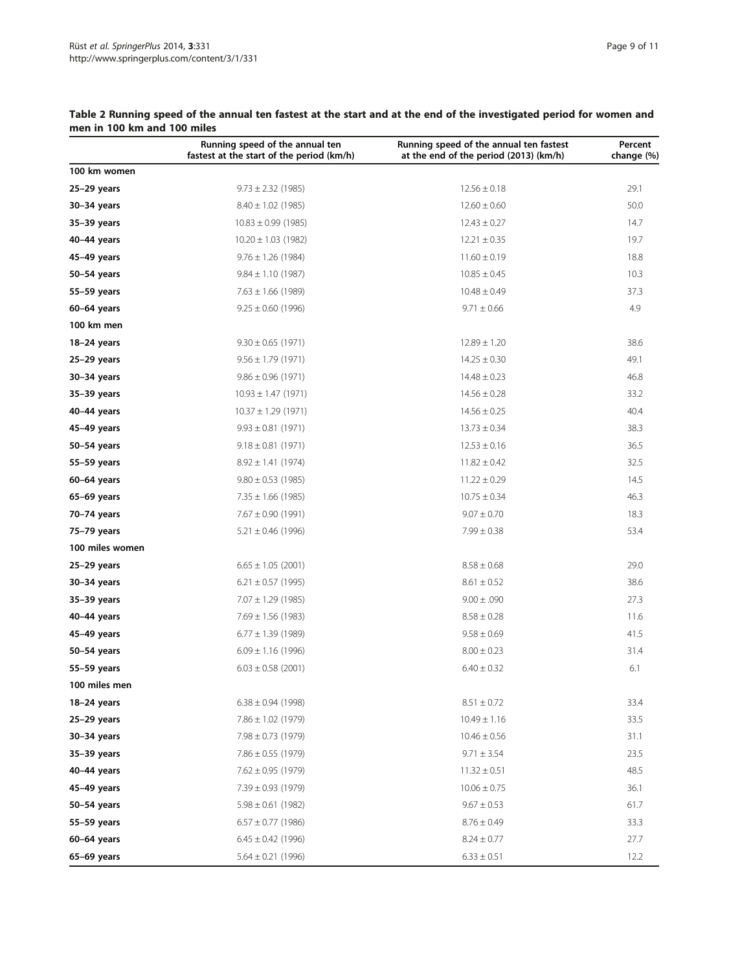|                 | Running speed of the annual ten<br>fastest at the start of the period (km/h) | Running speed of the annual ten fastest<br>at the end of the period (2013) (km/h) | Percent<br>change (%) |
|-----------------|------------------------------------------------------------------------------|-----------------------------------------------------------------------------------|-----------------------|
| 100 km women    |                                                                              |                                                                                   |                       |
| $25-29$ years   | $9.73 \pm 2.32$ (1985)                                                       | $12.56 \pm 0.18$                                                                  | 29.1                  |
| $30-34$ years   | $8.40 \pm 1.02$ (1985)                                                       | $12.60 \pm 0.60$                                                                  | 50.0                  |
| 35-39 years     | $10.83 \pm 0.99$ (1985)                                                      | $12.43 \pm 0.27$                                                                  | 14.7                  |
| 40-44 years     | $10.20 \pm 1.03$ (1982)                                                      | $12.21 \pm 0.35$                                                                  | 19.7                  |
| 45-49 years     | $9.76 \pm 1.26$ (1984)                                                       | $11.60 \pm 0.19$                                                                  | 18.8                  |
| 50-54 years     | $9.84 \pm 1.10$ (1987)                                                       | $10.85 \pm 0.45$                                                                  | 10.3                  |
| 55-59 years     | $7.63 \pm 1.66$ (1989)                                                       | $10.48 \pm 0.49$                                                                  | 37.3                  |
| $60-64$ years   | $9.25 \pm 0.60$ (1996)                                                       | $9.71 \pm 0.66$                                                                   | 4.9                   |
| 100 km men      |                                                                              |                                                                                   |                       |
| 18-24 years     | $9.30 \pm 0.65$ (1971)                                                       | $12.89 \pm 1.20$                                                                  | 38.6                  |
| $25-29$ years   | $9.56 \pm 1.79$ (1971)                                                       | $14.25 \pm 0.30$                                                                  | 49.1                  |
| $30-34$ years   | $9.86 \pm 0.96$ (1971)                                                       | $14.48 \pm 0.23$                                                                  | 46.8                  |
| 35-39 years     | $10.93 \pm 1.47$ (1971)                                                      | $14.56 \pm 0.28$                                                                  | 33.2                  |
| 40-44 years     | $10.37 \pm 1.29$ (1971)                                                      | $14.56 \pm 0.25$                                                                  | 40.4                  |
| 45-49 years     | $9.93 \pm 0.81$ (1971)                                                       | $13.73 \pm 0.34$                                                                  | 38.3                  |
| 50-54 years     | $9.18 \pm 0.81$ (1971)                                                       | $12.53 \pm 0.16$                                                                  | 36.5                  |
| 55-59 years     | $8.92 \pm 1.41$ (1974)                                                       | $11.82 \pm 0.42$                                                                  | 32.5                  |
| 60-64 years     | $9.80 \pm 0.53$ (1985)                                                       | $11.22 \pm 0.29$                                                                  | 14.5                  |
| $65-69$ years   | $7.35 \pm 1.66$ (1985)                                                       | $10.75 \pm 0.34$                                                                  | 46.3                  |
| 70-74 years     | $7.67 \pm 0.90$ (1991)                                                       | $9.07 \pm 0.70$                                                                   | 18.3                  |
| 75-79 years     | $5.21 \pm 0.46$ (1996)                                                       | $7.99 \pm 0.38$                                                                   | 53.4                  |
| 100 miles women |                                                                              |                                                                                   |                       |
| $25-29$ years   | $6.65 \pm 1.05$ (2001)                                                       | $8.58 \pm 0.68$                                                                   | 29.0                  |
| 30-34 years     | $6.21 \pm 0.57$ (1995)                                                       | $8.61 \pm 0.52$                                                                   | 38.6                  |
| 35-39 years     | $7.07 \pm 1.29$ (1985)                                                       | $9.00 \pm .090$                                                                   | 27.3                  |
| 40-44 years     | $7.69 \pm 1.56$ (1983)                                                       | $8.58 \pm 0.28$                                                                   | 11.6                  |
| 45-49 years     | $6.77 \pm 1.39$ (1989)                                                       | $9.58 \pm 0.69$                                                                   | 41.5                  |
| 50-54 years     | $6.09 \pm 1.16$ (1996)                                                       | $8.00 \pm 0.23$                                                                   | 31.4                  |
| 55-59 years     | $6.03 \pm 0.58$ (2001)                                                       | $6.40 \pm 0.32$                                                                   | 6.1                   |
| 100 miles men   |                                                                              |                                                                                   |                       |
| 18-24 years     | $6.38 \pm 0.94$ (1998)                                                       | $8.51 \pm 0.72$                                                                   | 33.4                  |
| $25-29$ years   | $7.86 \pm 1.02$ (1979)                                                       | $10.49 \pm 1.16$                                                                  | 33.5                  |
| 30-34 years     | $7.98 \pm 0.73$ (1979)                                                       | $10.46 \pm 0.56$                                                                  | 31.1                  |
| 35-39 years     | $7.86 \pm 0.55$ (1979)                                                       | $9.71 \pm 3.54$                                                                   | 23.5                  |
| 40-44 years     | $7.62 \pm 0.95$ (1979)                                                       | $11.32 \pm 0.51$                                                                  | 48.5                  |
| 45-49 years     | $7.39 \pm 0.93$ (1979)                                                       | $10.06 \pm 0.75$                                                                  | 36.1                  |
| 50-54 years     | $5.98 \pm 0.61$ (1982)                                                       | $9.67 \pm 0.53$                                                                   | 61.7                  |
| 55-59 years     | $6.57 \pm 0.77$ (1986)                                                       | $8.76 \pm 0.49$                                                                   | 33.3                  |
| $60-64$ years   | $6.45 \pm 0.42$ (1996)                                                       | $8.24 \pm 0.77$                                                                   | 27.7                  |
| $65-69$ years   | $5.64 \pm 0.21$ (1996)                                                       | $6.33 \pm 0.51$                                                                   | 12.2                  |

### <span id="page-8-0"></span>Table 2 Running speed of the annual ten fastest at the start and at the end of the investigated period for women and men in 100 km and 100 miles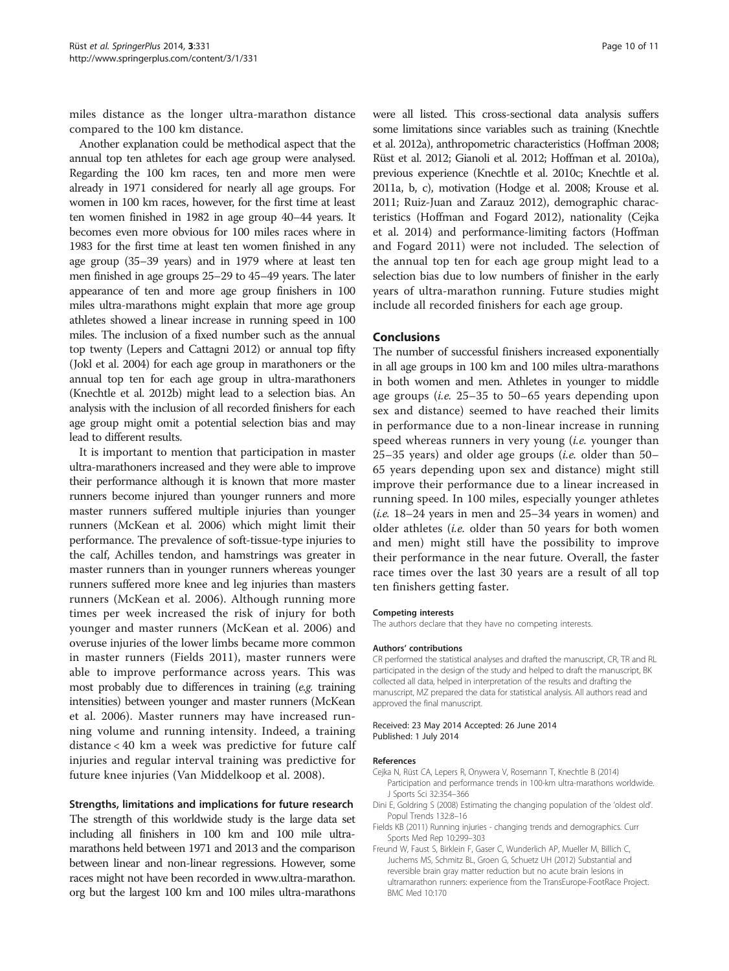<span id="page-9-0"></span>miles distance as the longer ultra-marathon distance compared to the 100 km distance.

Another explanation could be methodical aspect that the annual top ten athletes for each age group were analysed. Regarding the 100 km races, ten and more men were already in 1971 considered for nearly all age groups. For women in 100 km races, however, for the first time at least ten women finished in 1982 in age group 40–44 years. It becomes even more obvious for 100 miles races where in 1983 for the first time at least ten women finished in any age group (35–39 years) and in 1979 where at least ten men finished in age groups 25–29 to 45–49 years. The later appearance of ten and more age group finishers in 100 miles ultra-marathons might explain that more age group athletes showed a linear increase in running speed in 100 miles. The inclusion of a fixed number such as the annual top twenty (Lepers and Cattagni [2012\)](#page-10-0) or annual top fifty (Jokl et al. [2004](#page-10-0)) for each age group in marathoners or the annual top ten for each age group in ultra-marathoners (Knechtle et al. [2012b\)](#page-10-0) might lead to a selection bias. An analysis with the inclusion of all recorded finishers for each age group might omit a potential selection bias and may lead to different results.

It is important to mention that participation in master ultra-marathoners increased and they were able to improve their performance although it is known that more master runners become injured than younger runners and more master runners suffered multiple injuries than younger runners (McKean et al. [2006](#page-10-0)) which might limit their performance. The prevalence of soft-tissue-type injuries to the calf, Achilles tendon, and hamstrings was greater in master runners than in younger runners whereas younger runners suffered more knee and leg injuries than masters runners (McKean et al. [2006\)](#page-10-0). Although running more times per week increased the risk of injury for both younger and master runners (McKean et al. [2006](#page-10-0)) and overuse injuries of the lower limbs became more common in master runners (Fields 2011), master runners were able to improve performance across years. This was most probably due to differences in training (e.g. training intensities) between younger and master runners (McKean et al. [2006\)](#page-10-0). Master runners may have increased running volume and running intensity. Indeed, a training distance < 40 km a week was predictive for future calf injuries and regular interval training was predictive for future knee injuries (Van Middelkoop et al. [2008\)](#page-10-0).

#### Strengths, limitations and implications for future research

The strength of this worldwide study is the large data set including all finishers in 100 km and 100 mile ultramarathons held between 1971 and 2013 and the comparison between linear and non-linear regressions. However, some races might not have been recorded in [www.ultra-marathon.](http://www.ultra-marathon.org) [org](http://www.ultra-marathon.org) but the largest 100 km and 100 miles ultra-marathons

were all listed. This cross-sectional data analysis suffers some limitations since variables such as training (Knechtle et al. [2012a\)](#page-10-0), anthropometric characteristics (Hoffman [2008](#page-10-0); Rüst et al. [2012;](#page-10-0) Gianoli et al. [2012;](#page-10-0) Hoffman et al. [2010a](#page-10-0)), previous experience (Knechtle et al. [2010c](#page-10-0); Knechtle et al. [2011a, b, c](#page-10-0)), motivation (Hodge et al. [2008](#page-10-0); Krouse et al. [2011;](#page-10-0) Ruiz-Juan and Zarauz [2012\)](#page-10-0), demographic characteristics (Hoffman and Fogard [2012\)](#page-10-0), nationality (Cejka et al. 2014) and performance-limiting factors (Hoffman and Fogard [2011](#page-10-0)) were not included. The selection of the annual top ten for each age group might lead to a selection bias due to low numbers of finisher in the early years of ultra-marathon running. Future studies might include all recorded finishers for each age group.

#### Conclusions

The number of successful finishers increased exponentially in all age groups in 100 km and 100 miles ultra-marathons in both women and men. Athletes in younger to middle age groups (*i.e.*  $25-35$  to  $50-65$  years depending upon sex and distance) seemed to have reached their limits in performance due to a non-linear increase in running speed whereas runners in very young  $(i.e.$  younger than <sup>25</sup>–35 years) and older age groups (i.e. older than 50– 65 years depending upon sex and distance) might still improve their performance due to a linear increased in running speed. In 100 miles, especially younger athletes (*i.e.*  $18-24$  years in men and  $25-34$  years in women) and older athletes (i.e. older than 50 years for both women and men) might still have the possibility to improve their performance in the near future. Overall, the faster race times over the last 30 years are a result of all top ten finishers getting faster.

#### Competing interests

The authors declare that they have no competing interests.

#### Authors' contributions

CR performed the statistical analyses and drafted the manuscript, CR, TR and RL participated in the design of the study and helped to draft the manuscript, BK collected all data, helped in interpretation of the results and drafting the manuscript, MZ prepared the data for statistical analysis. All authors read and approved the final manuscript.

#### Received: 23 May 2014 Accepted: 26 June 2014 Published: 1 July 2014

#### References

- Cejka N, Rüst CA, Lepers R, Onywera V, Rosemann T, Knechtle B (2014) Participation and performance trends in 100-km ultra-marathons worldwide. J Sports Sci 32:354–366
- Dini E, Goldring S (2008) Estimating the changing population of the 'oldest old'. Popul Trends 132:8–16
- Fields KB (2011) Running injuries changing trends and demographics. Curr Sports Med Rep 10:299–303
- Freund W, Faust S, Birklein F, Gaser C, Wunderlich AP, Mueller M, Billich C, Juchems MS, Schmitz BL, Groen G, Schuetz UH (2012) Substantial and reversible brain gray matter reduction but no acute brain lesions in ultramarathon runners: experience from the TransEurope-FootRace Project. BMC Med 10:170